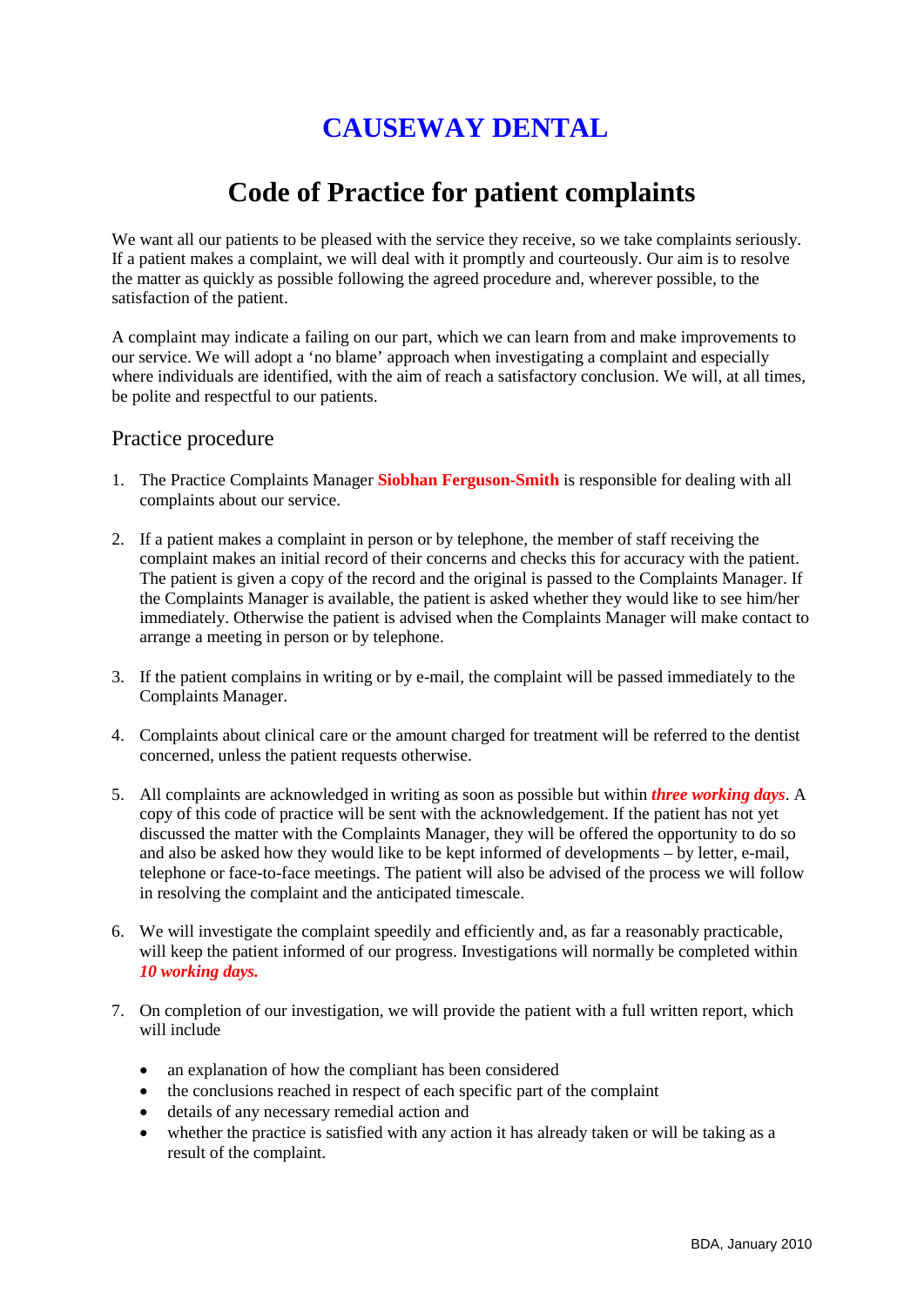## **CAUSEWAY DENTAL**

## **Code of Practice for patient complaints**

We want all our patients to be pleased with the service they receive, so we take complaints seriously. If a patient makes a complaint, we will deal with it promptly and courteously. Our aim is to resolve the matter as quickly as possible following the agreed procedure and, wherever possible, to the satisfaction of the patient.

A complaint may indicate a failing on our part, which we can learn from and make improvements to our service. We will adopt a 'no blame' approach when investigating a complaint and especially where individuals are identified, with the aim of reach a satisfactory conclusion. We will, at all times, be polite and respectful to our patients.

## Practice procedure

- 1. The Practice Complaints Manager **Siobhan Ferguson-Smith** is responsible for dealing with all complaints about our service.
- 2. If a patient makes a complaint in person or by telephone, the member of staff receiving the complaint makes an initial record of their concerns and checks this for accuracy with the patient. The patient is given a copy of the record and the original is passed to the Complaints Manager. If the Complaints Manager is available, the patient is asked whether they would like to see him/her immediately. Otherwise the patient is advised when the Complaints Manager will make contact to arrange a meeting in person or by telephone.
- 3. If the patient complains in writing or by e-mail, the complaint will be passed immediately to the Complaints Manager.
- 4. Complaints about clinical care or the amount charged for treatment will be referred to the dentist concerned, unless the patient requests otherwise.
- 5. All complaints are acknowledged in writing as soon as possible but within *three working days*. A copy of this code of practice will be sent with the acknowledgement. If the patient has not yet discussed the matter with the Complaints Manager, they will be offered the opportunity to do so and also be asked how they would like to be kept informed of developments – by letter, e-mail, telephone or face-to-face meetings. The patient will also be advised of the process we will follow in resolving the complaint and the anticipated timescale.
- 6. We will investigate the complaint speedily and efficiently and, as far a reasonably practicable, will keep the patient informed of our progress. Investigations will normally be completed within *10 working days.*
- 7. On completion of our investigation, we will provide the patient with a full written report, which will include
	- an explanation of how the compliant has been considered
	- the conclusions reached in respect of each specific part of the complaint
	- details of any necessary remedial action and
	- whether the practice is satisfied with any action it has already taken or will be taking as a result of the complaint.